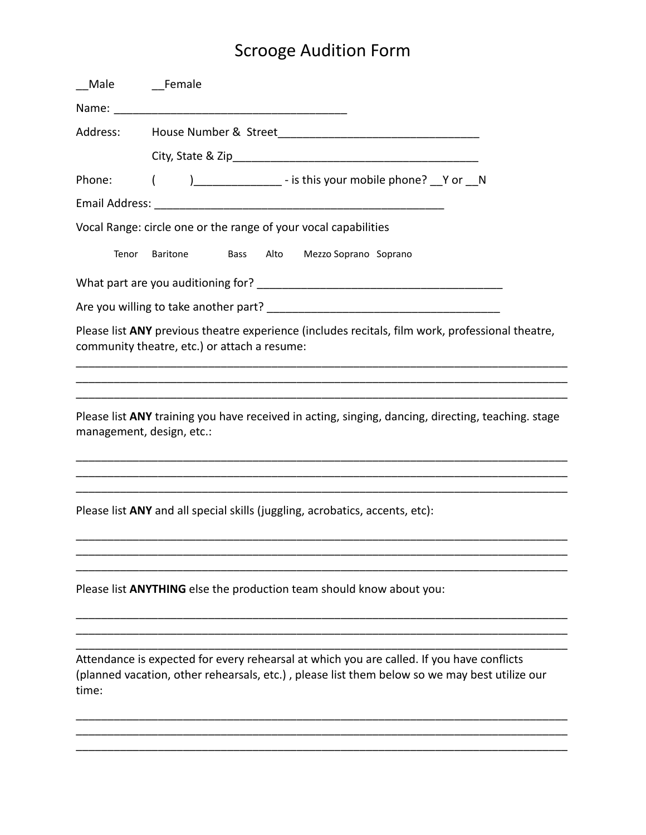| Male   | <b>Example</b> Female                                                                                                                                                                      |
|--------|--------------------------------------------------------------------------------------------------------------------------------------------------------------------------------------------|
|        |                                                                                                                                                                                            |
|        |                                                                                                                                                                                            |
|        |                                                                                                                                                                                            |
| Phone: | )________________ - is this your mobile phone? Y or _N<br>(                                                                                                                                |
|        |                                                                                                                                                                                            |
|        | Vocal Range: circle one or the range of your vocal capabilities                                                                                                                            |
| Tenor  | Alto<br>Mezzo Soprano Soprano<br>Baritone<br>Bass                                                                                                                                          |
|        |                                                                                                                                                                                            |
|        |                                                                                                                                                                                            |
|        | Please list ANY previous theatre experience (includes recitals, film work, professional theatre,<br>community theatre, etc.) or attach a resume:                                           |
|        |                                                                                                                                                                                            |
|        |                                                                                                                                                                                            |
|        | Please list ANY training you have received in acting, singing, dancing, directing, teaching. stage<br>management, design, etc.:                                                            |
|        |                                                                                                                                                                                            |
|        | Please list ANY and all special skills (juggling, acrobatics, accents, etc):                                                                                                               |
|        |                                                                                                                                                                                            |
|        | Please list <b>ANYTHING</b> else the production team should know about you:                                                                                                                |
|        |                                                                                                                                                                                            |
| time:  | Attendance is expected for every rehearsal at which you are called. If you have conflicts<br>(planned vacation, other rehearsals, etc.), please list them below so we may best utilize our |

\_\_\_\_\_\_\_\_\_\_\_\_\_\_\_\_\_\_\_\_\_\_\_\_\_\_\_\_\_\_\_\_\_\_\_\_\_\_\_\_\_\_\_\_\_\_\_\_\_\_\_\_\_\_\_\_\_\_\_\_\_\_\_\_\_\_\_\_\_\_\_\_\_\_\_\_\_\_

\_\_\_\_\_\_\_\_\_\_\_\_\_\_\_\_\_\_\_\_\_\_\_\_\_\_\_\_\_\_\_\_\_\_\_\_\_\_\_\_\_\_\_\_\_\_\_\_\_\_\_\_\_\_\_\_\_\_\_\_\_\_\_\_\_\_\_\_\_\_\_\_\_\_\_\_\_\_ \_\_\_\_\_\_\_\_\_\_\_\_\_\_\_\_\_\_\_\_\_\_\_\_\_\_\_\_\_\_\_\_\_\_\_\_\_\_\_\_\_\_\_\_\_\_\_\_\_\_\_\_\_\_\_\_\_\_\_\_\_\_\_\_\_\_\_\_\_\_\_\_\_\_\_\_\_\_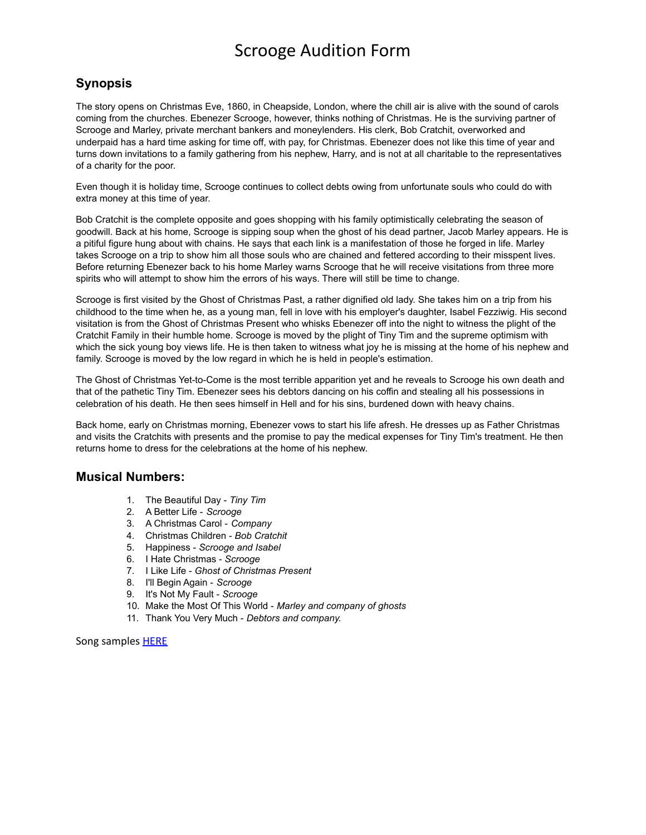#### **Synopsis**

The story opens on Christmas Eve, 1860, in Cheapside, London, where the chill air is alive with the sound of carols coming from the churches. Ebenezer Scrooge, however, thinks nothing of Christmas. He is the surviving partner of Scrooge and Marley, private merchant bankers and moneylenders. His clerk, Bob Cratchit, overworked and underpaid has a hard time asking for time off, with pay, for Christmas. Ebenezer does not like this time of year and turns down invitations to a family gathering from his nephew, Harry, and is not at all charitable to the representatives of a charity for the poor.

Even though it is holiday time, Scrooge continues to collect debts owing from unfortunate souls who could do with extra money at this time of year.

Bob Cratchit is the complete opposite and goes shopping with his family optimistically celebrating the season of goodwill. Back at his home, Scrooge is sipping soup when the ghost of his dead partner, Jacob Marley appears. He is a pitiful figure hung about with chains. He says that each link is a manifestation of those he forged in life. Marley takes Scrooge on a trip to show him all those souls who are chained and fettered according to their misspent lives. Before returning Ebenezer back to his home Marley warns Scrooge that he will receive visitations from three more spirits who will attempt to show him the errors of his ways. There will still be time to change.

Scrooge is first visited by the Ghost of Christmas Past, a rather dignified old lady. She takes him on a trip from his childhood to the time when he, as a young man, fell in love with his employer's daughter, Isabel Fezziwig. His second visitation is from the Ghost of Christmas Present who whisks Ebenezer off into the night to witness the plight of the Cratchit Family in their humble home. Scrooge is moved by the plight of Tiny Tim and the supreme optimism with which the sick young boy views life. He is then taken to witness what joy he is missing at the home of his nephew and family. Scrooge is moved by the low regard in which he is held in people's estimation.

The Ghost of Christmas Yet-to-Come is the most terrible apparition yet and he reveals to Scrooge his own death and that of the pathetic Tiny Tim. Ebenezer sees his debtors dancing on his coffin and stealing all his possessions in celebration of his death. He then sees himself in Hell and for his sins, burdened down with heavy chains.

Back home, early on Christmas morning, Ebenezer vows to start his life afresh. He dresses up as Father Christmas and visits the Cratchits with presents and the promise to pay the medical expenses for Tiny Tim's treatment. He then returns home to dress for the celebrations at the home of his nephew.

#### **Musical Numbers:**

- 1. The Beautiful Day *Tiny Tim*
- 2. A Better Life *Scrooge*
- 3. A Christmas Carol *Company*
- 4. Christmas Children *Bob Cratchit*
- 5. Happiness *Scrooge and Isabel*
- 6. I Hate Christmas *Scrooge*
- 7. I Like Life *Ghost of Christmas Present*
- 8. I'll Begin Again *Scrooge*
- 9. It's Not My Fault *Scrooge*
- 10. Make the Most Of This World *Marley and company of ghosts*
- 11. Thank You Very Much *Debtors and company.*

Song samples **[HERE](https://www.concordtheatricals.com/p/1707/scrooge)**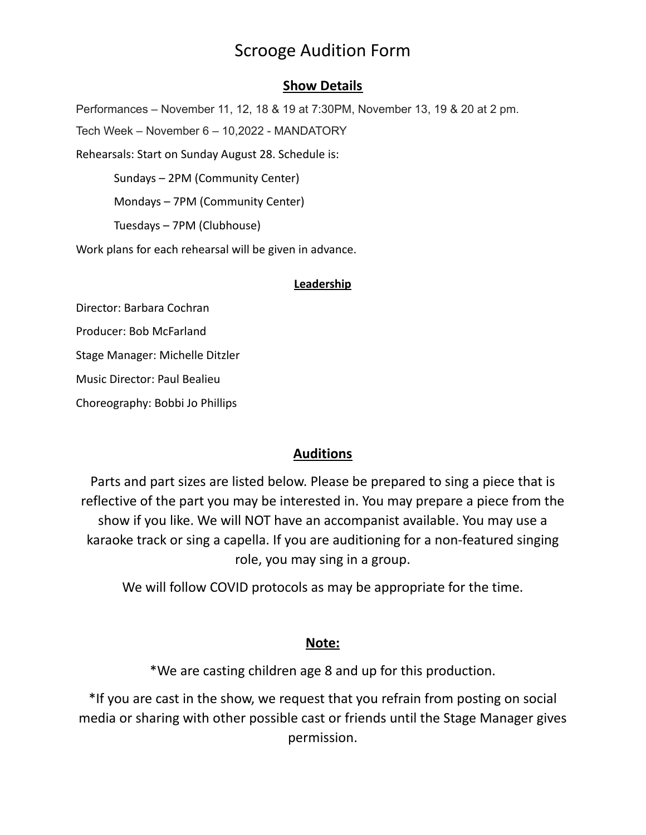### **Show Details**

Performances – November 11, 12, 18 & 19 at 7:30PM, November 13, 19 & 20 at 2 pm. Tech Week – November 6 – 10,2022 - MANDATORY Rehearsals: Start on Sunday August 28. Schedule is: Sundays – 2PM (Community Center) Mondays – 7PM (Community Center) Tuesdays – 7PM (Clubhouse) Work plans for each rehearsal will be given in advance.

#### **Leadership**

Director: Barbara Cochran Producer: Bob McFarland Stage Manager: Michelle Ditzler Music Director: Paul Bealieu Choreography: Bobbi Jo Phillips

### **Auditions**

Parts and part sizes are listed below. Please be prepared to sing a piece that is reflective of the part you may be interested in. You may prepare a piece from the show if you like. We will NOT have an accompanist available. You may use a karaoke track or sing a capella. If you are auditioning for a non-featured singing role, you may sing in a group.

We will follow COVID protocols as may be appropriate for the time.

### **Note:**

\*We are casting children age 8 and up for this production.

\*If you are cast in the show, we request that you refrain from posting on social media or sharing with other possible cast or friends until the Stage Manager gives permission.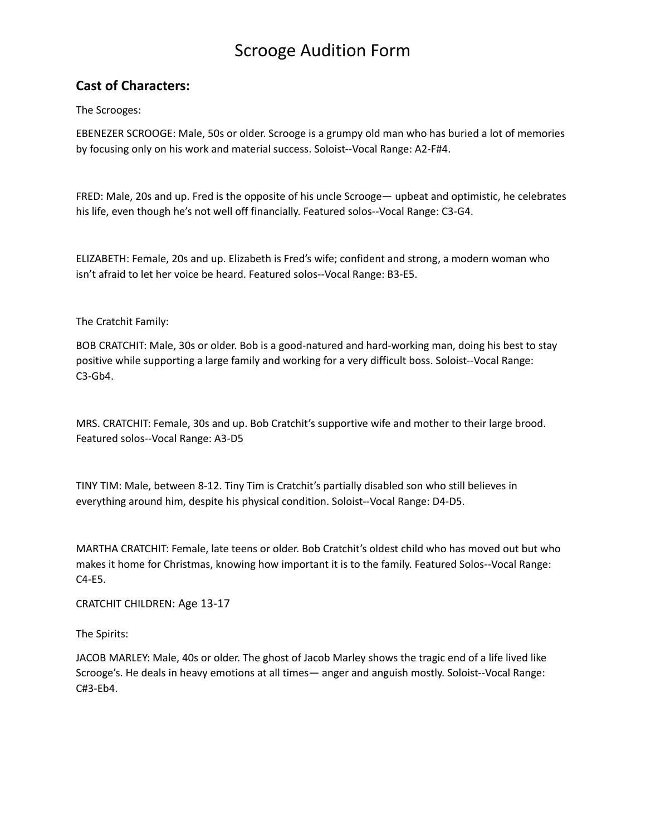### **Cast of Characters:**

The Scrooges:

EBENEZER SCROOGE: Male, 50s or older. Scrooge is a grumpy old man who has buried a lot of memories by focusing only on his work and material success. Soloist--Vocal Range: A2-F#4.

FRED: Male, 20s and up. Fred is the opposite of his uncle Scrooge— upbeat and optimistic, he celebrates his life, even though he's not well off financially. Featured solos--Vocal Range: C3-G4.

ELIZABETH: Female, 20s and up. Elizabeth is Fred's wife; confident and strong, a modern woman who isn't afraid to let her voice be heard. Featured solos--Vocal Range: B3-E5.

The Cratchit Family:

BOB CRATCHIT: Male, 30s or older. Bob is a good-natured and hard-working man, doing his best to stay positive while supporting a large family and working for a very difficult boss. Soloist--Vocal Range: C3-Gb4.

MRS. CRATCHIT: Female, 30s and up. Bob Cratchit's supportive wife and mother to their large brood. Featured solos--Vocal Range: A3-D5

TINY TIM: Male, between 8-12. Tiny Tim is Cratchit's partially disabled son who still believes in everything around him, despite his physical condition. Soloist--Vocal Range: D4-D5.

MARTHA CRATCHIT: Female, late teens or older. Bob Cratchit's oldest child who has moved out but who makes it home for Christmas, knowing how important it is to the family. Featured Solos--Vocal Range: C4-E5.

CRATCHIT CHILDREN: Age 13-17

The Spirits:

JACOB MARLEY: Male, 40s or older. The ghost of Jacob Marley shows the tragic end of a life lived like Scrooge's. He deals in heavy emotions at all times— anger and anguish mostly. Soloist--Vocal Range: C#3-Eb4.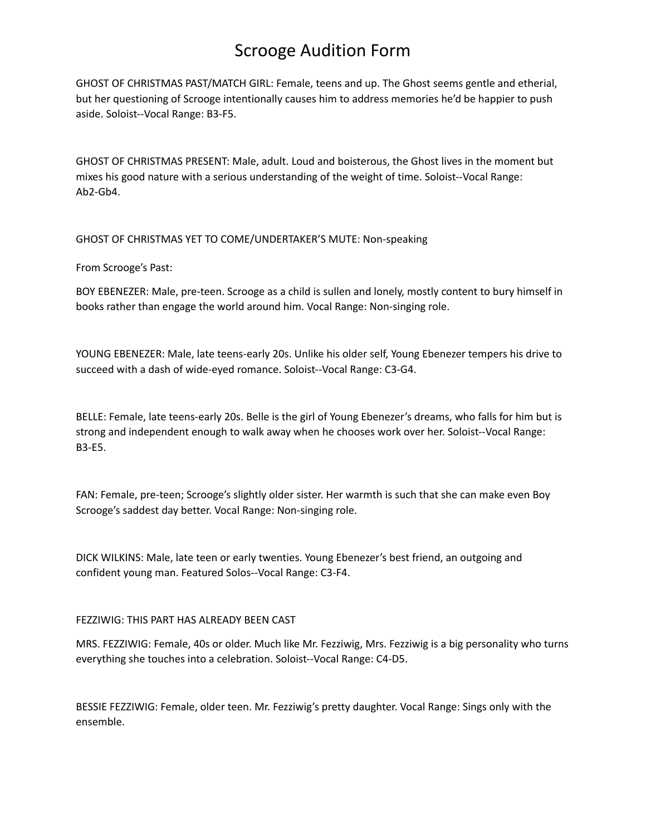GHOST OF CHRISTMAS PAST/MATCH GIRL: Female, teens and up. The Ghost seems gentle and etherial, but her questioning of Scrooge intentionally causes him to address memories he'd be happier to push aside. Soloist--Vocal Range: B3-F5.

GHOST OF CHRISTMAS PRESENT: Male, adult. Loud and boisterous, the Ghost lives in the moment but mixes his good nature with a serious understanding of the weight of time. Soloist--Vocal Range: Ab2-Gb4.

GHOST OF CHRISTMAS YET TO COME/UNDERTAKER'S MUTE: Non-speaking

From Scrooge's Past:

BOY EBENEZER: Male, pre-teen. Scrooge as a child is sullen and lonely, mostly content to bury himself in books rather than engage the world around him. Vocal Range: Non-singing role.

YOUNG EBENEZER: Male, late teens-early 20s. Unlike his older self, Young Ebenezer tempers his drive to succeed with a dash of wide-eyed romance. Soloist--Vocal Range: C3-G4.

BELLE: Female, late teens-early 20s. Belle is the girl of Young Ebenezer's dreams, who falls for him but is strong and independent enough to walk away when he chooses work over her. Soloist--Vocal Range: B3-E5.

FAN: Female, pre-teen; Scrooge's slightly older sister. Her warmth is such that she can make even Boy Scrooge's saddest day better. Vocal Range: Non-singing role.

DICK WILKINS: Male, late teen or early twenties. Young Ebenezer's best friend, an outgoing and confident young man. Featured Solos--Vocal Range: C3-F4.

#### FEZZIWIG: THIS PART HAS ALREADY BEEN CAST

MRS. FEZZIWIG: Female, 40s or older. Much like Mr. Fezziwig, Mrs. Fezziwig is a big personality who turns everything she touches into a celebration. Soloist--Vocal Range: C4-D5.

BESSIE FEZZIWIG: Female, older teen. Mr. Fezziwig's pretty daughter. Vocal Range: Sings only with the ensemble.